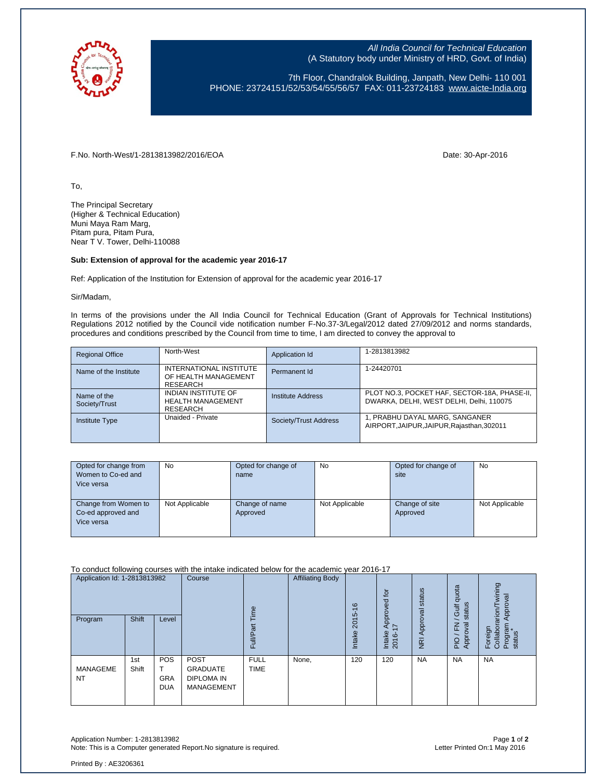

All India Council for Technical Education (A Statutory body under Ministry of HRD, Govt. of India)

7th Floor, Chandralok Building, Janpath, New Delhi- 110 001 PHONE: 23724151/52/53/54/55/56/57 FAX: 011-23724183 [www.aicte-India.org](http://www.aicte-india.org/)

F.No. North-West/1-2813813982/2016/EOA Date: 30-Apr-2016

To,

The Principal Secretary (Higher & Technical Education) Muni Maya Ram Marg, Pitam pura, Pitam Pura, Near T V. Tower, Delhi-110088

## **Sub: Extension of approval for the academic year 2016-17**

Ref: Application of the Institution for Extension of approval for the academic year 2016-17

Sir/Madam,

In terms of the provisions under the All India Council for Technical Education (Grant of Approvals for Technical Institutions) Regulations 2012 notified by the Council vide notification number F-No.37-3/Legal/2012 dated 27/09/2012 and norms standards, procedures and conditions prescribed by the Council from time to time, I am directed to convey the approval to

| <b>Regional Office</b>       | North-West                                                                | Application Id        | 1-2813813982                                                                             |
|------------------------------|---------------------------------------------------------------------------|-----------------------|------------------------------------------------------------------------------------------|
| Name of the Institute        | INTERNATIONAL INSTITUTE<br>OF HEALTH MANAGEMENT<br>RESEARCH               | Permanent Id          | 1-24420701                                                                               |
| Name of the<br>Society/Trust | <b>INDIAN INSTITUTE OF</b><br><b>HEALTH MANAGEMENT</b><br><b>RESEARCH</b> | Institute Address     | PLOT NO.3, POCKET HAF, SECTOR-18A, PHASE-II,<br>DWARKA, DELHI, WEST DELHI, Delhi, 110075 |
| <b>Institute Type</b>        | Unaided - Private                                                         | Society/Trust Address | 1, PRABHU DAYAL MARG, SANGANER<br>AIRPORT, JAIPUR, JAIPUR, Rajasthan, 302011             |

| Opted for change from | No             | Opted for change of | No             | Opted for change of | <b>No</b>      |
|-----------------------|----------------|---------------------|----------------|---------------------|----------------|
| Women to Co-ed and    |                | name                |                | site                |                |
| Vice versa            |                |                     |                |                     |                |
|                       |                |                     |                |                     |                |
| Change from Women to  | Not Applicable | Change of name      | Not Applicable | Change of site      | Not Applicable |
| Co-ed approved and    |                | Approved            |                | Approved            |                |
| Vice versa            |                |                     |                |                     |                |
|                       |                |                     |                |                     |                |

#### To conduct following courses with the intake indicated below for the academic year 2016-17

| Application Id: 1-2813813982<br>Program | Shift        | Level                           | Course                                                                   | euil<br>Ρã<br>Ful∽         | <b>Affiliating Body</b> | ဖ<br>ယ<br>201<br>Intake | $\overline{c}$<br>Approved<br>I7<br>Intake<br>2016-1 | status<br>Approval<br>$\overline{g}$ | quota<br>status<br><b>Gulf</b><br>roval<br>준<br>App<br>P <sub>1</sub> | wining<br>Approval<br>Foreign<br>Collaborarion/T<br>Program<br>status |
|-----------------------------------------|--------------|---------------------------------|--------------------------------------------------------------------------|----------------------------|-------------------------|-------------------------|------------------------------------------------------|--------------------------------------|-----------------------------------------------------------------------|-----------------------------------------------------------------------|
| MANAGEME<br><b>NT</b>                   | 1st<br>Shift | POS<br><b>GRA</b><br><b>DUA</b> | <b>POST</b><br><b>GRADUATE</b><br><b>DIPLOMA IN</b><br><b>MANAGEMENT</b> | <b>FULL</b><br><b>TIME</b> | None,                   | 120                     | 120                                                  | <b>NA</b>                            | <b>NA</b>                                                             | <b>NA</b>                                                             |

Application Number: 1-2813813982 Page **1** of **2** Note: This is a Computer generated Report. No signature is required.